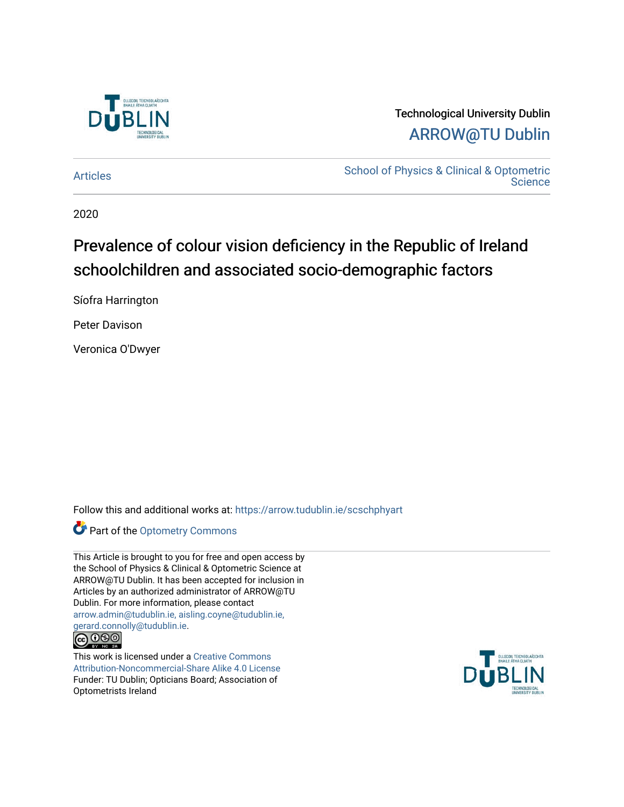

# Technological University Dublin [ARROW@TU Dublin](https://arrow.tudublin.ie/)

[Articles](https://arrow.tudublin.ie/scschphyart) [School of Physics & Clinical & Optometric](https://arrow.tudublin.ie/scschphy)  **Science** 

2020

# Prevalence of colour vision deficiency in the Republic of Ireland schoolchildren and associated socio-demographic factors

Síofra Harrington

Peter Davison

Veronica O'Dwyer

Follow this and additional works at: [https://arrow.tudublin.ie/scschphyart](https://arrow.tudublin.ie/scschphyart?utm_source=arrow.tudublin.ie%2Fscschphyart%2F139&utm_medium=PDF&utm_campaign=PDFCoverPages)

Part of the [Optometry Commons](http://network.bepress.com/hgg/discipline/730?utm_source=arrow.tudublin.ie%2Fscschphyart%2F139&utm_medium=PDF&utm_campaign=PDFCoverPages) 

This Article is brought to you for free and open access by the School of Physics & Clinical & Optometric Science at ARROW@TU Dublin. It has been accepted for inclusion in Articles by an authorized administrator of ARROW@TU Dublin. For more information, please contact [arrow.admin@tudublin.ie, aisling.coyne@tudublin.ie,](mailto:arrow.admin@tudublin.ie,%20aisling.coyne@tudublin.ie,%20gerard.connolly@tudublin.ie)  [gerard.connolly@tudublin.ie](mailto:arrow.admin@tudublin.ie,%20aisling.coyne@tudublin.ie,%20gerard.connolly@tudublin.ie).



This work is licensed under a [Creative Commons](http://creativecommons.org/licenses/by-nc-sa/4.0/) [Attribution-Noncommercial-Share Alike 4.0 License](http://creativecommons.org/licenses/by-nc-sa/4.0/) Funder: TU Dublin; Opticians Board; Association of Optometrists Ireland

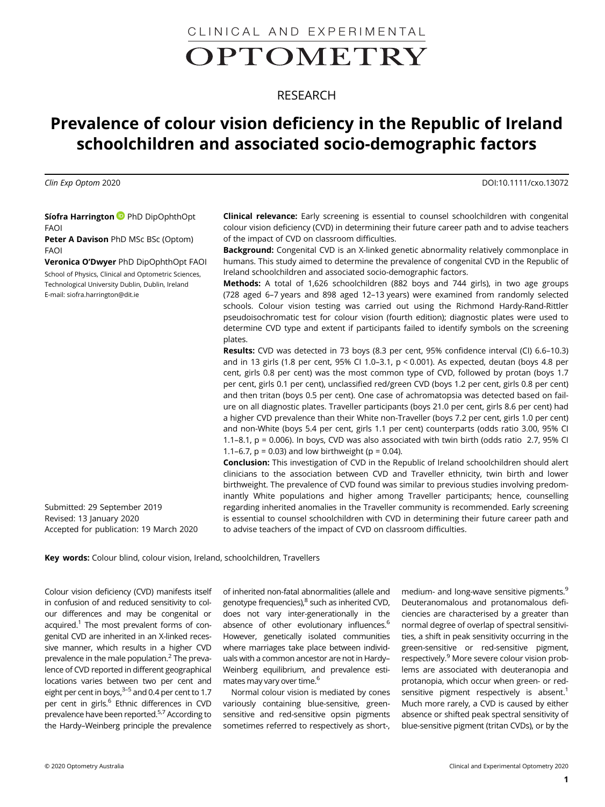CLINICAL AND EXPERIMENTALOPTOMETRY

# RESEARCH

# Prevalence of colour vision deficiency in the Republic of Ireland schoolchildren and associated socio-demographic factors

Clin Exp Optom 2020 DOI:10.1111/cxo.13072

Síofra Harrington PhD DipOphthOpt FAOI

Peter A Davison PhD MSc BSc (Optom) FAOI

Veronica O'Dwyer PhD DipOphthOpt FAOI School of Physics, Clinical and Optometric Sciences, Technological University Dublin, Dublin, Ireland E-mail: [siofra.harrington@dit.ie](mailto:siofra.harrington@dit.ie)

Submitted: 29 September 2019 Revised: 13 January 2020 Accepted for publication: 19 March 2020 Clinical relevance: Early screening is essential to counsel schoolchildren with congenital colour vision deficiency (CVD) in determining their future career path and to advise teachers of the impact of CVD on classroom difficulties.

Background: Congenital CVD is an X-linked genetic abnormality relatively commonplace in humans. This study aimed to determine the prevalence of congenital CVD in the Republic of Ireland schoolchildren and associated socio-demographic factors.

Methods: A total of 1,626 schoolchildren (882 boys and 744 girls), in two age groups (728 aged 6–7 years and 898 aged 12–13 years) were examined from randomly selected schools. Colour vision testing was carried out using the Richmond Hardy-Rand-Rittler pseudoisochromatic test for colour vision (fourth edition); diagnostic plates were used to determine CVD type and extent if participants failed to identify symbols on the screening plates.

Results: CVD was detected in 73 boys (8.3 per cent, 95% confidence interval (CI) 6.6–10.3) and in 13 girls (1.8 per cent, 95% CI 1.0–3.1, p < 0.001). As expected, deutan (boys 4.8 per cent, girls 0.8 per cent) was the most common type of CVD, followed by protan (boys 1.7 per cent, girls 0.1 per cent), unclassified red/green CVD (boys 1.2 per cent, girls 0.8 per cent) and then tritan (boys 0.5 per cent). One case of achromatopsia was detected based on failure on all diagnostic plates. Traveller participants (boys 21.0 per cent, girls 8.6 per cent) had a higher CVD prevalence than their White non-Traveller (boys 7.2 per cent, girls 1.0 per cent) and non-White (boys 5.4 per cent, girls 1.1 per cent) counterparts (odds ratio 3.00, 95% CI 1.1–8.1, p = 0.006). In boys, CVD was also associated with twin birth (odds ratio 2.7, 95% CI 1.1–6.7,  $p = 0.03$ ) and low birthweight ( $p = 0.04$ ).

Conclusion: This investigation of CVD in the Republic of Ireland schoolchildren should alert clinicians to the association between CVD and Traveller ethnicity, twin birth and lower birthweight. The prevalence of CVD found was similar to previous studies involving predominantly White populations and higher among Traveller participants; hence, counselling regarding inherited anomalies in the Traveller community is recommended. Early screening is essential to counsel schoolchildren with CVD in determining their future career path and to advise teachers of the impact of CVD on classroom difficulties.

Key words: Colour blind, colour vision, Ireland, schoolchildren, Travellers

Colour vision deficiency (CVD) manifests itself in confusion of and reduced sensitivity to colour differences and may be congenital or acquired. $1$  The most prevalent forms of congenital CVD are inherited in an X-linked recessive manner, which results in a higher CVD prevalence in the male population. $<sup>2</sup>$  The preva-</sup> lence of CVD reported in different geographical locations varies between two per cent and eight per cent in boys,  $3-5$  and 0.4 per cent to 1.7 per cent in girls.<sup>6</sup> Ethnic differences in CVD prevalence have been reported.5,7 According to the Hardy–Weinberg principle the prevalence

of inherited non-fatal abnormalities (allele and genotype frequencies),<sup>8</sup> such as inherited CVD, does not vary inter-generationally in the absence of other evolutionary influences.<sup>6</sup> However, genetically isolated communities where marriages take place between individuals with a common ancestor are not in Hardy– Weinberg equilibrium, and prevalence estimates may vary over time.<sup>6</sup>

Normal colour vision is mediated by cones variously containing blue-sensitive, greensensitive and red-sensitive opsin pigments sometimes referred to respectively as short-, medium- and long-wave sensitive pigments.<sup>9</sup> Deuteranomalous and protanomalous deficiencies are characterised by a greater than normal degree of overlap of spectral sensitivities, a shift in peak sensitivity occurring in the green-sensitive or red-sensitive pigment, respectively.<sup>9</sup> More severe colour vision problems are associated with deuteranopia and protanopia, which occur when green- or redsensitive pigment respectively is absent.<sup>1</sup> Much more rarely, a CVD is caused by either absence or shifted peak spectral sensitivity of blue-sensitive pigment (tritan CVDs), or by the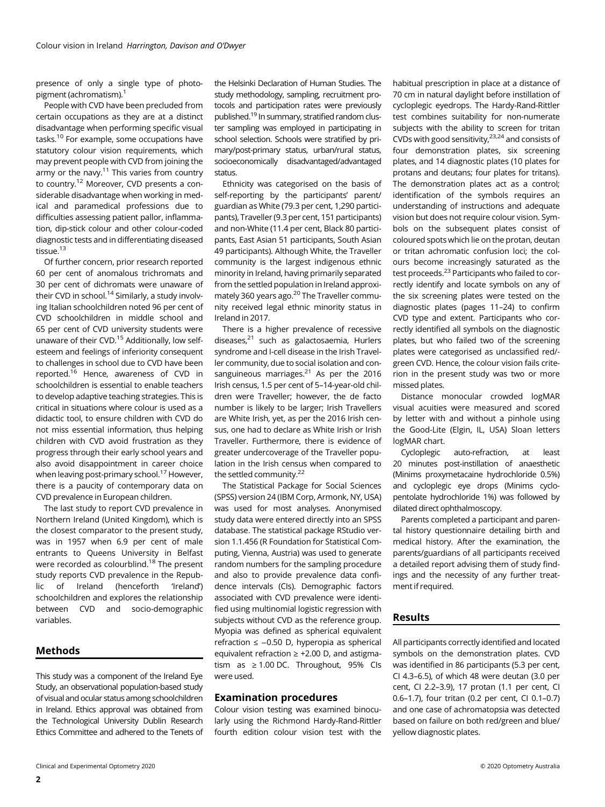presence of only a single type of photopigment (achromatism).<sup>1</sup>

People with CVD have been precluded from certain occupations as they are at a distinct disadvantage when performing specific visual tasks.10 For example, some occupations have statutory colour vision requirements, which may prevent people with CVD from joining the army or the navy.<sup>11</sup> This varies from country to country.12 Moreover, CVD presents a considerable disadvantage when working in medical and paramedical professions due to difficulties assessing patient pallor, inflammation, dip-stick colour and other colour-coded diagnostic tests and in differentiating diseased tissue.<sup>13</sup>

Of further concern, prior research reported 60 per cent of anomalous trichromats and 30 per cent of dichromats were unaware of their CVD in school.<sup>14</sup> Similarly, a study involving Italian schoolchildren noted 96 per cent of CVD schoolchildren in middle school and 65 per cent of CVD university students were unaware of their CVD.15 Additionally, low selfesteem and feelings of inferiority consequent to challenges in school due to CVD have been reported.16 Hence, awareness of CVD in schoolchildren is essential to enable teachers to develop adaptive teaching strategies. This is critical in situations where colour is used as a didactic tool, to ensure children with CVD do not miss essential information, thus helping children with CVD avoid frustration as they progress through their early school years and also avoid disappointment in career choice when leaving post-primary school.<sup>17</sup> However, there is a paucity of contemporary data on CVD prevalence in European children.

The last study to report CVD prevalence in Northern Ireland (United Kingdom), which is the closest comparator to the present study, was in 1957 when 6.9 per cent of male entrants to Queens University in Belfast were recorded as colourblind.<sup>18</sup> The present study reports CVD prevalence in the Republic of Ireland (henceforth 'Ireland') schoolchildren and explores the relationship between CVD and socio-demographic variables.

# Methods

This study was a component of the Ireland Eye Study, an observational population-based study of visual and ocular status among schoolchildren in Ireland. Ethics approval was obtained from the Technological University Dublin Research Ethics Committee and adhered to the Tenets of

the Helsinki Declaration of Human Studies. The study methodology, sampling, recruitment protocols and participation rates were previously published.19 In summary, stratified random cluster sampling was employed in participating in school selection. Schools were stratified by primary/post-primary status, urban/rural status, socioeconomically disadvantaged/advantaged status.

Ethnicity was categorised on the basis of self-reporting by the participants' parent/ guardian as White (79.3 per cent, 1,290 participants), Traveller (9.3 per cent, 151 participants) and non-White (11.4 per cent, Black 80 participants, East Asian 51 participants, South Asian 49 participants). Although White, the Traveller community is the largest indigenous ethnic minority in Ireland, having primarily separated from the settled population in Ireland approximately 360 years ago. $^{20}$  The Traveller community received legal ethnic minority status in Ireland in 2017.

There is a higher prevalence of recessive diseases,<sup>21</sup> such as galactosaemia, Hurlers syndrome and I-cell disease in the Irish Traveller community, due to social isolation and consanguineous marriages. $21$  As per the 2016 Irish census, 1.5 per cent of 5–14-year-old children were Traveller; however, the de facto number is likely to be larger; Irish Travellers are White Irish, yet, as per the 2016 Irish census, one had to declare as White Irish or Irish Traveller. Furthermore, there is evidence of greater undercoverage of the Traveller population in the Irish census when compared to the settled community.<sup>22</sup>

The Statistical Package for Social Sciences (SPSS) version 24 (IBM Corp, Armonk, NY, USA) was used for most analyses. Anonymised study data were entered directly into an SPSS database. The statistical package RStudio version 1.1.456 (R Foundation for Statistical Computing, Vienna, Austria) was used to generate random numbers for the sampling procedure and also to provide prevalence data confidence intervals (CIs). Demographic factors associated with CVD prevalence were identified using multinomial logistic regression with subjects without CVD as the reference group. Myopia was defined as spherical equivalent refraction ≤ −0.50 D, hyperopia as spherical equivalent refraction ≥ +2.00 D, and astigmatism as ≥ 1.00 DC. Throughout, 95% CIs were used.

# Examination procedures

Colour vision testing was examined binocularly using the Richmond Hardy-Rand-Rittler fourth edition colour vision test with the

habitual prescription in place at a distance of 70 cm in natural daylight before instillation of cycloplegic eyedrops. The Hardy-Rand-Rittler test combines suitability for non-numerate subjects with the ability to screen for tritan CVDs with good sensitivity,  $23,24$  and consists of four demonstration plates, six screening plates, and 14 diagnostic plates (10 plates for protans and deutans; four plates for tritans). The demonstration plates act as a control; identification of the symbols requires an understanding of instructions and adequate vision but does not require colour vision. Symbols on the subsequent plates consist of coloured spots which lie on the protan, deutan or tritan achromatic confusion loci; the colours become increasingly saturated as the test proceeds.<sup>23</sup> Participants who failed to correctly identify and locate symbols on any of the six screening plates were tested on the diagnostic plates (pages 11–24) to confirm CVD type and extent. Participants who correctly identified all symbols on the diagnostic plates, but who failed two of the screening plates were categorised as unclassified red/ green CVD. Hence, the colour vision fails criterion in the present study was two or more missed plates.

Distance monocular crowded logMAR visual acuities were measured and scored by letter with and without a pinhole using the Good-Lite (Elgin, IL, USA) Sloan letters logMAR chart.

Cycloplegic auto-refraction, at least 20 minutes post-instillation of anaesthetic (Minims proxymetacaine hydrochloride 0.5%) and cycloplegic eye drops (Minims cyclopentolate hydrochloride 1%) was followed by dilated direct ophthalmoscopy.

Parents completed a participant and parental history questionnaire detailing birth and medical history. After the examination, the parents/guardians of all participants received a detailed report advising them of study findings and the necessity of any further treatment if required.

# Results

All participants correctly identified and located symbols on the demonstration plates. CVD was identified in 86 participants (5.3 per cent, CI 4.3–6.5), of which 48 were deutan (3.0 per cent, CI 2.2–3.9), 17 protan (1.1 per cent, CI 0.6–1.7), four tritan (0.2 per cent, CI 0.1–0.7) and one case of achromatopsia was detected based on failure on both red/green and blue/ yellow diagnostic plates.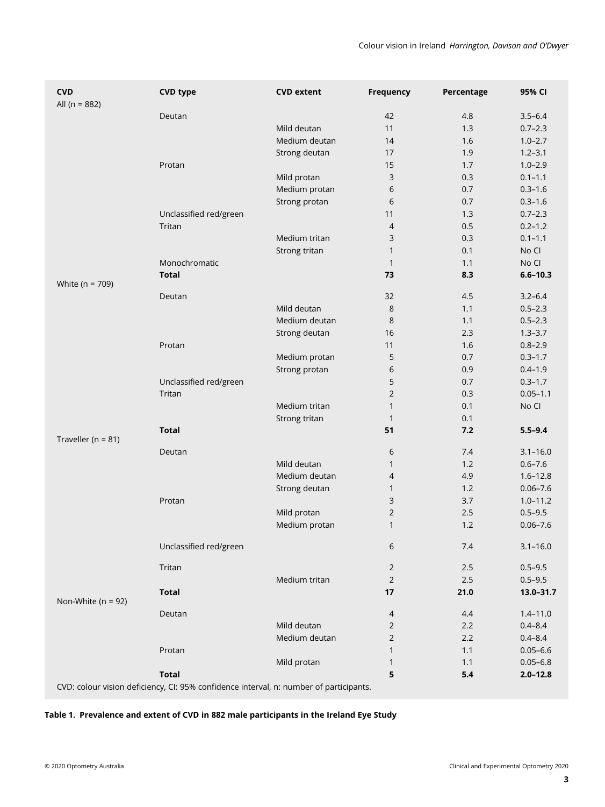| <b>CVD</b><br>All ( $n = 882$ ) | <b>CVD type</b>                                                                        | <b>CVD extent</b> | <b>Frequency</b> | Percentage | 95% CI       |
|---------------------------------|----------------------------------------------------------------------------------------|-------------------|------------------|------------|--------------|
|                                 | Deutan                                                                                 |                   | 42               | 4.8        | $3.5 - 6.4$  |
|                                 |                                                                                        | Mild deutan       | 11               | 1.3        | $0.7 - 2.3$  |
|                                 |                                                                                        | Medium deutan     | 14               | 1.6        | $1.0 - 2.7$  |
|                                 |                                                                                        | Strong deutan     | 17               | 1.9        | $1.2 - 3.1$  |
|                                 | Protan                                                                                 |                   | 15               | 1.7        | $1.0 - 2.9$  |
|                                 |                                                                                        | Mild protan       | 3                | 0.3        | $0.1 - 1.1$  |
|                                 |                                                                                        | Medium protan     | 6                | 0.7        | $0.3 - 1.6$  |
|                                 |                                                                                        | Strong protan     | 6                | 0.7        | $0.3 - 1.6$  |
|                                 | Unclassified red/green                                                                 |                   | 11               | 1.3        | $0.7 - 2.3$  |
|                                 | Tritan                                                                                 |                   | 4                | 0.5        | $0.2 - 1.2$  |
|                                 |                                                                                        | Medium tritan     | 3                | 0.3        | $0.1 - 1.1$  |
|                                 |                                                                                        | Strong tritan     | $\mathbf{1}$     | 0.1        | No Cl        |
|                                 | Monochromatic                                                                          |                   | $\mathbf{1}$     | 1.1        | No Cl        |
| White ( $n = 709$ )             | <b>Total</b>                                                                           |                   | 73               | 8.3        | $6.6 - 10.3$ |
|                                 | Deutan                                                                                 |                   | 32               | 4.5        | $3.2 - 6.4$  |
|                                 |                                                                                        | Mild deutan       | 8                | 1.1        | $0.5 - 2.3$  |
|                                 |                                                                                        | Medium deutan     | 8                | 1.1        | $0.5 - 2.3$  |
|                                 |                                                                                        | Strong deutan     | 16               | 2.3        | $1.3 - 3.7$  |
|                                 | Protan                                                                                 |                   | 11               | 1.6        | $0.8 - 2.9$  |
|                                 |                                                                                        | Medium protan     | 5                | 0.7        | $0.3 - 1.7$  |
|                                 |                                                                                        | Strong protan     | 6                | 0.9        | $0.4 - 1.9$  |
|                                 | Unclassified red/green                                                                 |                   | 5                | 0.7        | $0.3 - 1.7$  |
|                                 | Tritan                                                                                 |                   | $\overline{2}$   | 0.3        | $0.05 - 1.1$ |
|                                 |                                                                                        | Medium tritan     | $\mathbf{1}$     | 0.1        | No Cl        |
|                                 |                                                                                        | Strong tritan     | $\mathbf{1}$     | 0.1        |              |
| Traveller ( $n = 81$ )          | <b>Total</b>                                                                           |                   | 51               | 7.2        | $5.5 - 9.4$  |
|                                 | Deutan                                                                                 |                   | 6                | 7.4        | $3.1 - 16.0$ |
|                                 |                                                                                        | Mild deutan       | $\mathbf{1}$     | 1.2        | $0.6 - 7.6$  |
|                                 |                                                                                        | Medium deutan     | $\overline{4}$   | 4.9        | $1.6 - 12.8$ |
|                                 |                                                                                        | Strong deutan     | $\mathbf{1}$     | 1.2        | $0.06 - 7.6$ |
|                                 | Protan                                                                                 |                   | 3                | 3.7        | $1.0 - 11.2$ |
|                                 |                                                                                        | Mild protan       | $\overline{2}$   | 2.5        | $0.5 - 9.5$  |
|                                 |                                                                                        | Medium protan     | $\mathbf{1}$     | 1.2        | $0.06 - 7.6$ |
|                                 | Unclassified red/green                                                                 |                   | 6                | 7.4        | $3.1 - 16.0$ |
|                                 | Tritan                                                                                 |                   | $\sqrt{2}$       | 2.5        | $0.5 - 9.5$  |
|                                 |                                                                                        | Medium tritan     | $\sqrt{2}$       | 2.5        | $0.5 - 9.5$  |
| Non-White ( $n = 92$ )          | <b>Total</b>                                                                           |                   | 17               | 21.0       | 13.0-31.7    |
|                                 | Deutan                                                                                 |                   | $\overline{4}$   | 4.4        | $1.4 - 11.0$ |
|                                 |                                                                                        | Mild deutan       | $\overline{2}$   | 2.2        | $0.4 - 8.4$  |
|                                 |                                                                                        | Medium deutan     | 2                | 2.2        | $0.4 - 8.4$  |
|                                 | Protan                                                                                 |                   | 1                | 1.1        | $0.05 - 6.6$ |
|                                 |                                                                                        | Mild protan       | 1                | 1.1        | $0.05 - 6.8$ |
|                                 | <b>Total</b>                                                                           |                   | 5                | 5.4        | $2.0 - 12.8$ |
|                                 | CVD: colour vision deficiency, CI: 95% confidence interval, n: number of participants. |                   |                  |            |              |

# Table 1. Prevalence and extent of CVD in 882 male participants in the Ireland Eye Study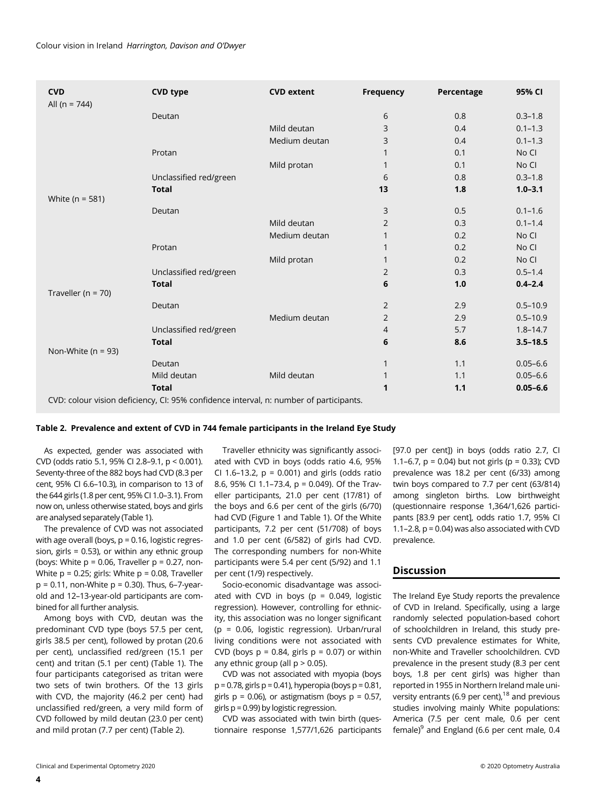| <b>CVD</b><br>All ( $n = 744$ ) | <b>CVD type</b>                                                                        | <b>CVD</b> extent | <b>Frequency</b> | Percentage | 95% CI       |
|---------------------------------|----------------------------------------------------------------------------------------|-------------------|------------------|------------|--------------|
|                                 | Deutan                                                                                 |                   | 6                | 0.8        | $0.3 - 1.8$  |
|                                 |                                                                                        | Mild deutan       | 3                | 0.4        | $0.1 - 1.3$  |
|                                 |                                                                                        | Medium deutan     | 3                | 0.4        | $0.1 - 1.3$  |
|                                 | Protan                                                                                 |                   | 1                | 0.1        | No Cl        |
|                                 |                                                                                        | Mild protan       | 1                | 0.1        | No CI        |
|                                 | Unclassified red/green                                                                 |                   | 6                | 0.8        | $0.3 - 1.8$  |
|                                 | <b>Total</b>                                                                           |                   | 13               | 1.8        | $1.0 - 3.1$  |
| White ( $n = 581$ )             |                                                                                        |                   |                  |            |              |
|                                 | Deutan                                                                                 |                   | 3                | 0.5        | $0.1 - 1.6$  |
|                                 |                                                                                        | Mild deutan       | 2                | 0.3        | $0.1 - 1.4$  |
|                                 |                                                                                        | Medium deutan     | 1                | 0.2        | No CI        |
|                                 | Protan                                                                                 |                   | 1                | 0.2        | No CI        |
|                                 |                                                                                        | Mild protan       | 1                | 0.2        | No Cl        |
|                                 | Unclassified red/green                                                                 |                   | 2                | 0.3        | $0.5 - 1.4$  |
| Traveller ( $n = 70$ )          | <b>Total</b>                                                                           |                   | 6                | 1.0        | $0.4 - 2.4$  |
|                                 | Deutan                                                                                 |                   | 2                | 2.9        | $0.5 - 10.9$ |
|                                 |                                                                                        | Medium deutan     | 2                | 2.9        | $0.5 - 10.9$ |
|                                 | Unclassified red/green                                                                 |                   | 4                | 5.7        | $1.8 - 14.7$ |
| Non-White ( $n = 93$ )          | <b>Total</b>                                                                           |                   | 6                | 8.6        | $3.5 - 18.5$ |
|                                 | Deutan                                                                                 |                   | 1                | 1.1        | $0.05 - 6.6$ |
|                                 | Mild deutan                                                                            | Mild deutan       | 1                | 1.1        | $0.05 - 6.6$ |
|                                 | <b>Total</b>                                                                           |                   | 1                | 1.1        | $0.05 - 6.6$ |
|                                 | CVD: colour vision deficiency, CI: 95% confidence interval, n: number of participants. |                   |                  |            |              |

### Table 2. Prevalence and extent of CVD in 744 female participants in the Ireland Eye Study

As expected, gender was associated with CVD (odds ratio 5.1, 95% CI 2.8–9.1, p < 0.001). Seventy-three of the 882 boys had CVD (8.3 per cent, 95% CI 6.6–10.3), in comparison to 13 of the 644 girls (1.8 per cent, 95% CI 1.0–3.1). From now on, unless otherwise stated, boys and girls are analysed separately (Table 1).

The prevalence of CVD was not associated with age overall (boys,  $p = 0.16$ , logistic regression, girls = 0.53), or within any ethnic group (boys: White  $p = 0.06$ , Traveller  $p = 0.27$ , non-White p = 0.25; girls: White p = 0.08, Traveller  $p = 0.11$ , non-White  $p = 0.30$ ). Thus, 6-7-yearold and 12–13-year-old participants are combined for all further analysis.

Among boys with CVD, deutan was the predominant CVD type (boys 57.5 per cent, girls 38.5 per cent), followed by protan (20.6 per cent), unclassified red/green (15.1 per cent) and tritan (5.1 per cent) (Table 1). The four participants categorised as tritan were two sets of twin brothers. Of the 13 girls with CVD, the majority (46.2 per cent) had unclassified red/green, a very mild form of CVD followed by mild deutan (23.0 per cent) and mild protan (7.7 per cent) (Table 2).

Traveller ethnicity was significantly associated with CVD in boys (odds ratio 4.6, 95% CI 1.6-13.2,  $p = 0.001$ ) and girls (odds ratio 8.6, 95% CI 1.1–73.4, p = 0.049). Of the Traveller participants, 21.0 per cent (17/81) of the boys and 6.6 per cent of the girls (6/70) had CVD (Figure 1 and Table 1). Of the White participants, 7.2 per cent (51/708) of boys and 1.0 per cent (6/582) of girls had CVD. The corresponding numbers for non-White participants were 5.4 per cent (5/92) and 1.1 per cent (1/9) respectively.

Socio-economic disadvantage was associated with CVD in boys ( $p = 0.049$ , logistic regression). However, controlling for ethnicity, this association was no longer significant (p = 0.06, logistic regression). Urban/rural living conditions were not associated with CVD (boys  $p = 0.84$ , girls  $p = 0.07$ ) or within any ethnic group (all  $p > 0.05$ ).

CVD was not associated with myopia (boys  $p = 0.78$ , girls  $p = 0.41$ ), hyperopia (boys  $p = 0.81$ , girls  $p = 0.06$ ), or astigmatism (boys  $p = 0.57$ , girls p = 0.99) by logistic regression.

CVD was associated with twin birth (questionnaire response 1,577/1,626 participants [97.0 per cent]) in boys (odds ratio 2.7, CI 1.1–6.7,  $p = 0.04$ ) but not girls ( $p = 0.33$ ); CVD prevalence was 18.2 per cent (6/33) among twin boys compared to 7.7 per cent (63/814) among singleton births. Low birthweight (questionnaire response 1,364/1,626 participants [83.9 per cent], odds ratio 1.7, 95% CI 1.1–2.8,  $p = 0.04$ ) was also associated with CVD prevalence.

# **Discussion**

The Ireland Eye Study reports the prevalence of CVD in Ireland. Specifically, using a large randomly selected population-based cohort of schoolchildren in Ireland, this study presents CVD prevalence estimates for White, non-White and Traveller schoolchildren. CVD prevalence in the present study (8.3 per cent boys, 1.8 per cent girls) was higher than reported in 1955 in Northern Ireland male university entrants (6.9 per cent),  $18$  and previous studies involving mainly White populations: America (7.5 per cent male, 0.6 per cent female)<sup>9</sup> and England (6.6 per cent male, 0.4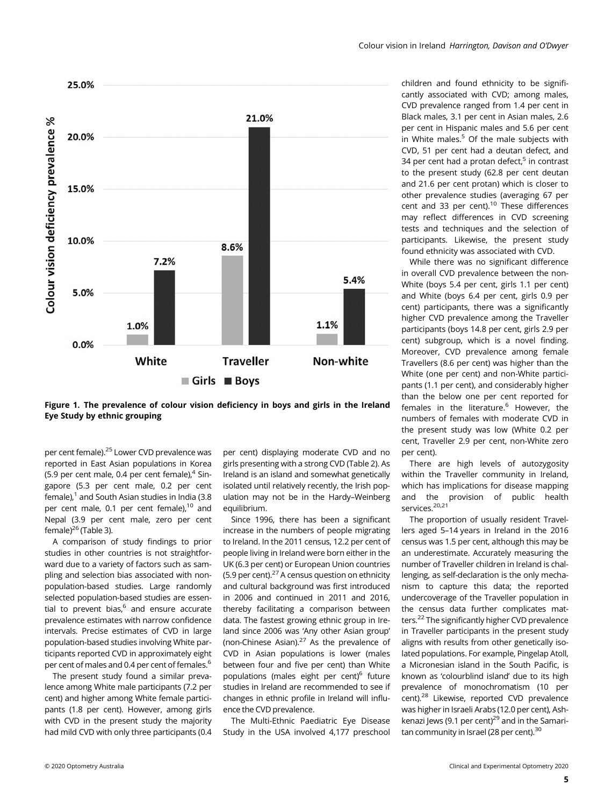



per cent female).<sup>25</sup> Lower CVD prevalence was reported in East Asian populations in Korea (5.9 per cent male, 0.4 per cent female), $4$  Singapore (5.3 per cent male, 0.2 per cent  $f$ emale), $1$  and South Asian studies in India (3.8 per cent male, 0.1 per cent female),<sup>10</sup> and Nepal (3.9 per cent male, zero per cent female) $^{26}$  (Table 3).

A comparison of study findings to prior studies in other countries is not straightforward due to a variety of factors such as sampling and selection bias associated with nonpopulation-based studies. Large randomly selected population-based studies are essential to prevent bias, $6$  and ensure accurate prevalence estimates with narrow confidence intervals. Precise estimates of CVD in large population-based studies involving White participants reported CVD in approximately eight per cent of males and 0.4 per cent of females.6

The present study found a similar prevalence among White male participants (7.2 per cent) and higher among White female participants (1.8 per cent). However, among girls with CVD in the present study the majority had mild CVD with only three participants (0.4

per cent) displaying moderate CVD and no girls presenting with a strong CVD (Table 2). As Ireland is an island and somewhat genetically isolated until relatively recently, the Irish population may not be in the Hardy–Weinberg equilibrium.

Since 1996, there has been a significant increase in the numbers of people migrating to Ireland. In the 2011 census, 12.2 per cent of people living in Ireland were born either in the UK (6.3 per cent) or European Union countries (5.9 per cent). $27$  A census question on ethnicity and cultural background was first introduced in 2006 and continued in 2011 and 2016, thereby facilitating a comparison between data. The fastest growing ethnic group in Ireland since 2006 was 'Any other Asian group' (non-Chinese Asian). $27$  As the prevalence of CVD in Asian populations is lower (males between four and five per cent) than White populations (males eight per cent)<sup>6</sup> future studies in Ireland are recommended to see if changes in ethnic profile in Ireland will influence the CVD prevalence.

The Multi-Ethnic Paediatric Eye Disease Study in the USA involved 4,177 preschool children and found ethnicity to be significantly associated with CVD; among males, CVD prevalence ranged from 1.4 per cent in Black males, 3.1 per cent in Asian males, 2.6 per cent in Hispanic males and 5.6 per cent in White males. $5$  Of the male subjects with CVD, 51 per cent had a deutan defect, and 34 per cent had a protan defect, $5$  in contrast to the present study (62.8 per cent deutan and 21.6 per cent protan) which is closer to other prevalence studies (averaging 67 per cent and 33 per cent).10 These differences may reflect differences in CVD screening tests and techniques and the selection of participants. Likewise, the present study found ethnicity was associated with CVD.

While there was no significant difference in overall CVD prevalence between the non-White (boys 5.4 per cent, girls 1.1 per cent) and White (boys 6.4 per cent, girls 0.9 per cent) participants, there was a significantly higher CVD prevalence among the Traveller participants (boys 14.8 per cent, girls 2.9 per cent) subgroup, which is a novel finding. Moreover, CVD prevalence among female Travellers (8.6 per cent) was higher than the White (one per cent) and non-White participants (1.1 per cent), and considerably higher than the below one per cent reported for females in the literature. $6$  However, the numbers of females with moderate CVD in the present study was low (White 0.2 per cent, Traveller 2.9 per cent, non-White zero per cent).

There are high levels of autozygosity within the Traveller community in Ireland, which has implications for disease mapping and the provision of public health services.<sup>20,21</sup>

The proportion of usually resident Travellers aged 5–14 years in Ireland in the 2016 census was 1.5 per cent, although this may be an underestimate. Accurately measuring the number of Traveller children in Ireland is challenging, as self-declaration is the only mechanism to capture this data; the reported undercoverage of the Traveller population in the census data further complicates matters.<sup>22</sup> The significantly higher CVD prevalence in Traveller participants in the present study aligns with results from other genetically isolated populations. For example, Pingelap Atoll, a Micronesian island in the South Pacific, is known as 'colourblind island' due to its high prevalence of monochromatism (10 per cent).28 Likewise, reported CVD prevalence was higher in Israeli Arabs (12.0 per cent), Ashkenazi Jews (9.1 per cent) $^{29}$  and in the Samaritan community in Israel (28 per cent). $30$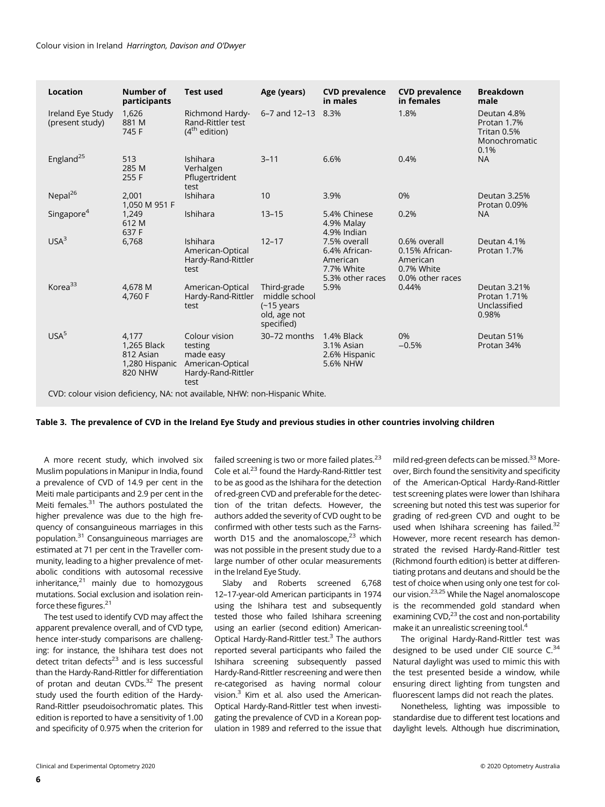| <b>Location</b>                                                            | Number of<br>participants                                      | <b>Test used</b>                                                                        | Age (years)                                                                         | <b>CVD prevalence</b><br>in males                                           | <b>CVD prevalence</b><br>in females                                          | <b>Breakdown</b><br>male                                           |  |
|----------------------------------------------------------------------------|----------------------------------------------------------------|-----------------------------------------------------------------------------------------|-------------------------------------------------------------------------------------|-----------------------------------------------------------------------------|------------------------------------------------------------------------------|--------------------------------------------------------------------|--|
| Ireland Eye Study<br>(present study)                                       | 1,626<br>881 M<br>745 F                                        | Richmond Hardy-<br>Rand-Rittler test<br>$(4th$ edition)                                 | 6-7 and 12-13 8.3%                                                                  |                                                                             | 1.8%                                                                         | Deutan 4.8%<br>Protan 1.7%<br>Tritan 0.5%<br>Monochromatic<br>0.1% |  |
| England <sup>25</sup>                                                      | 513<br>285 M<br>255 F                                          | Ishihara<br>Verhalgen<br>Pflugertrident<br>test                                         | $3 - 11$                                                                            | 6.6%                                                                        | 0.4%                                                                         | <b>NA</b>                                                          |  |
| Nepal <sup>26</sup>                                                        | 2,001<br>1,050 M 951 F                                         | Ishihara                                                                                | 10                                                                                  | 3.9%                                                                        | 0%                                                                           | Deutan 3.25%<br>Protan 0.09%                                       |  |
| Singapore <sup>4</sup>                                                     | 1,249<br>612 M<br>637 F                                        | Ishihara                                                                                | $13 - 15$                                                                           | 5.4% Chinese<br>4.9% Malay<br>4.9% Indian                                   | 0.2%                                                                         | <b>NA</b>                                                          |  |
| USA <sup>3</sup>                                                           | 6,768                                                          | <b>Ishihara</b><br>American-Optical<br>Hardy-Rand-Rittler<br>test                       | $12 - 17$                                                                           | 7.5% overall<br>6.4% African-<br>American<br>7.7% White<br>5.3% other races | 0.6% overall<br>0.15% African-<br>American<br>0.7% White<br>0.0% other races | Deutan 4.1%<br>Protan 1.7%                                         |  |
| Korea <sup>33</sup>                                                        | 4,678 M<br>4.760 F                                             | American-Optical<br>Hardy-Rand-Rittler<br>test                                          | Third-grade<br>middle school<br>$(-15 \text{ years})$<br>old, age not<br>specified) | 5.9%                                                                        | 0.44%                                                                        | Deutan 3.21%<br>Protan 1.71%<br>Unclassified<br>0.98%              |  |
| USA <sup>5</sup>                                                           | 4.177<br>1,265 Black<br>812 Asian<br>1,280 Hispanic<br>820 NHW | Colour vision<br>testing<br>made easy<br>American-Optical<br>Hardy-Rand-Rittler<br>test | 30-72 months                                                                        | 1.4% Black<br>3.1% Asian<br>2.6% Hispanic<br>5.6% NHW                       | 0%<br>$-0.5%$                                                                | Deutan 51%<br>Protan 34%                                           |  |
| CVD: colour vision deficiency, NA: not available, NHW: non-Hispanic White. |                                                                |                                                                                         |                                                                                     |                                                                             |                                                                              |                                                                    |  |

# Table 3. The prevalence of CVD in the Ireland Eye Study and previous studies in other countries involving children

A more recent study, which involved six Muslim populations in Manipur in India, found a prevalence of CVD of 14.9 per cent in the Meiti male participants and 2.9 per cent in the Meiti females. $31$  The authors postulated the higher prevalence was due to the high frequency of consanguineous marriages in this population.<sup>31</sup> Consanguineous marriages are estimated at 71 per cent in the Traveller community, leading to a higher prevalence of metabolic conditions with autosomal recessive inheritance, $21$  mainly due to homozygous mutations. Social exclusion and isolation reinforce these figures.<sup>21</sup>

The test used to identify CVD may affect the apparent prevalence overall, and of CVD type, hence inter-study comparisons are challenging: for instance, the Ishihara test does not detect tritan defects $23$  and is less successful than the Hardy-Rand-Rittler for differentiation of protan and deutan CVDs. $32$  The present study used the fourth edition of the Hardy-Rand-Rittler pseudoisochromatic plates. This edition is reported to have a sensitivity of 1.00 and specificity of 0.975 when the criterion for

failed screening is two or more failed plates. $^{23}$ Cole et al.23 found the Hardy-Rand-Rittler test to be as good as the Ishihara for the detection of red-green CVD and preferable for the detection of the tritan defects. However, the authors added the severity of CVD ought to be confirmed with other tests such as the Farnsworth D15 and the anomaloscope, $23$  which was not possible in the present study due to a large number of other ocular measurements in the Ireland Eye Study.

Slaby and Roberts screened 6,768 12–17-year-old American participants in 1974 using the Ishihara test and subsequently tested those who failed Ishihara screening using an earlier (second edition) American-Optical Hardy-Rand-Rittler test.3 The authors reported several participants who failed the Ishihara screening subsequently passed Hardy-Rand-Rittler rescreening and were then re-categorised as having normal colour vision.<sup>3</sup> Kim et al. also used the American-Optical Hardy-Rand-Rittler test when investigating the prevalence of CVD in a Korean population in 1989 and referred to the issue that

mild red-green defects can be missed.33 Moreover, Birch found the sensitivity and specificity of the American-Optical Hardy-Rand-Rittler test screening plates were lower than Ishihara screening but noted this test was superior for grading of red-green CVD and ought to be used when Ishihara screening has failed.<sup>32</sup> However, more recent research has demonstrated the revised Hardy-Rand-Rittler test (Richmond fourth edition) is better at differentiating protans and deutans and should be the test of choice when using only one test for colour vision.23,25 While the Nagel anomaloscope is the recommended gold standard when examining  $CVD<sub>1</sub><sup>23</sup>$  the cost and non-portability make it an unrealistic screening tool.4

The original Hardy-Rand-Rittler test was designed to be used under CIE source  $C^{34}$ Natural daylight was used to mimic this with the test presented beside a window, while ensuring direct lighting from tungsten and fluorescent lamps did not reach the plates.

Nonetheless, lighting was impossible to standardise due to different test locations and daylight levels. Although hue discrimination,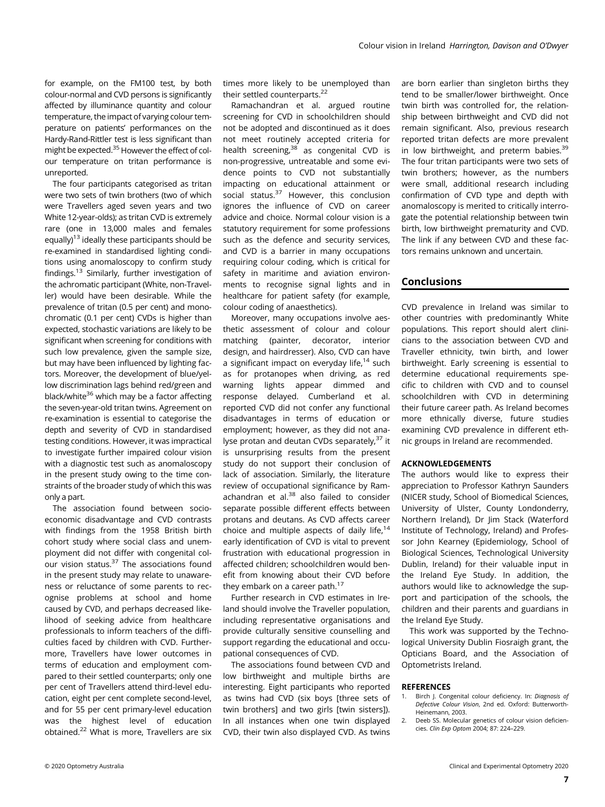for example, on the FM100 test, by both colour-normal and CVD persons is significantly affected by illuminance quantity and colour temperature, the impact of varying colour temperature on patients' performances on the Hardy-Rand-Rittler test is less significant than might be expected.35 However the effect of colour temperature on tritan performance is unreported.

The four participants categorised as tritan were two sets of twin brothers (two of which were Travellers aged seven years and two White 12-year-olds); as tritan CVD is extremely rare (one in 13,000 males and females equally)13 ideally these participants should be re-examined in standardised lighting conditions using anomaloscopy to confirm study findings.13 Similarly, further investigation of the achromatic participant (White, non-Traveller) would have been desirable. While the prevalence of tritan (0.5 per cent) and monochromatic (0.1 per cent) CVDs is higher than expected, stochastic variations are likely to be significant when screening for conditions with such low prevalence, given the sample size, but may have been influenced by lighting factors. Moreover, the development of blue/yellow discrimination lags behind red/green and black/white<sup>36</sup> which may be a factor affecting the seven-year-old tritan twins. Agreement on re-examination is essential to categorise the depth and severity of CVD in standardised testing conditions. However, it was impractical to investigate further impaired colour vision with a diagnostic test such as anomaloscopy in the present study owing to the time constraints of the broader study of which this was only a part.

The association found between socioeconomic disadvantage and CVD contrasts with findings from the 1958 British birth cohort study where social class and unemployment did not differ with congenital colour vision status.<sup>37</sup> The associations found in the present study may relate to unawareness or reluctance of some parents to recognise problems at school and home caused by CVD, and perhaps decreased likelihood of seeking advice from healthcare professionals to inform teachers of the difficulties faced by children with CVD. Furthermore, Travellers have lower outcomes in terms of education and employment compared to their settled counterparts; only one per cent of Travellers attend third-level education, eight per cent complete second-level, and for 55 per cent primary-level education was the highest level of education obtained.<sup>22</sup> What is more, Travellers are six

times more likely to be unemployed than their settled counterparts.<sup>22</sup>

Ramachandran et al. argued routine screening for CVD in schoolchildren should not be adopted and discontinued as it does not meet routinely accepted criteria for health screening,<sup>38</sup> as congenital CVD is non-progressive, untreatable and some evidence points to CVD not substantially impacting on educational attainment or social status. $37$  However, this conclusion ignores the influence of CVD on career advice and choice. Normal colour vision is a statutory requirement for some professions such as the defence and security services, and CVD is a barrier in many occupations requiring colour coding, which is critical for safety in maritime and aviation environments to recognise signal lights and in healthcare for patient safety (for example, colour coding of anaesthetics).

Moreover, many occupations involve aesthetic assessment of colour and colour matching (painter, decorator, interior design, and hairdresser). Also, CVD can have a significant impact on everyday life, $14$  such as for protanopes when driving, as red warning lights appear dimmed and response delayed. Cumberland et al. reported CVD did not confer any functional disadvantages in terms of education or employment; however, as they did not analyse protan and deutan CVDs separately,<sup>37</sup> it is unsurprising results from the present study do not support their conclusion of lack of association. Similarly, the literature review of occupational significance by Ramachandran et al. $38$  also failed to consider separate possible different effects between protans and deutans. As CVD affects career choice and multiple aspects of daily life, $14$ early identification of CVD is vital to prevent frustration with educational progression in affected children; schoolchildren would benefit from knowing about their CVD before they embark on a career path. $17$ 

Further research in CVD estimates in Ireland should involve the Traveller population, including representative organisations and provide culturally sensitive counselling and support regarding the educational and occupational consequences of CVD.

The associations found between CVD and low birthweight and multiple births are interesting. Eight participants who reported as twins had CVD (six boys [three sets of twin brothers] and two girls [twin sisters]). In all instances when one twin displayed CVD, their twin also displayed CVD. As twins

are born earlier than singleton births they tend to be smaller/lower birthweight. Once twin birth was controlled for, the relationship between birthweight and CVD did not remain significant. Also, previous research reported tritan defects are more prevalent in low birthweight, and preterm babies. $39$ The four tritan participants were two sets of twin brothers; however, as the numbers were small, additional research including confirmation of CVD type and depth with anomaloscopy is merited to critically interrogate the potential relationship between twin birth, low birthweight prematurity and CVD. The link if any between CVD and these factors remains unknown and uncertain.

# Conclusions

CVD prevalence in Ireland was similar to other countries with predominantly White populations. This report should alert clinicians to the association between CVD and Traveller ethnicity, twin birth, and lower birthweight. Early screening is essential to determine educational requirements specific to children with CVD and to counsel schoolchildren with CVD in determining their future career path. As Ireland becomes more ethnically diverse, future studies examining CVD prevalence in different ethnic groups in Ireland are recommended.

### ACKNOWLEDGEMENTS

The authors would like to express their appreciation to Professor Kathryn Saunders (NICER study, School of Biomedical Sciences, University of Ulster, County Londonderry, Northern Ireland), Dr Jim Stack (Waterford Institute of Technology, Ireland) and Professor John Kearney (Epidemiology, School of Biological Sciences, Technological University Dublin, Ireland) for their valuable input in the Ireland Eye Study. In addition, the authors would like to acknowledge the support and participation of the schools, the children and their parents and guardians in the Ireland Eye Study.

This work was supported by the Technological University Dublin Fiosraigh grant, the Opticians Board, and the Association of Optometrists Ireland.

#### **REFERENCES**

- Birch J. Congenital colour deficiency. In: Diagnosis of Defective Colour Vision, 2nd ed. Oxford: Butterworth-Heinemann, 2003.
- 2. Deeb SS. Molecular genetics of colour vision deficiencies. Clin Exp Optom 2004; 87: 224–229.